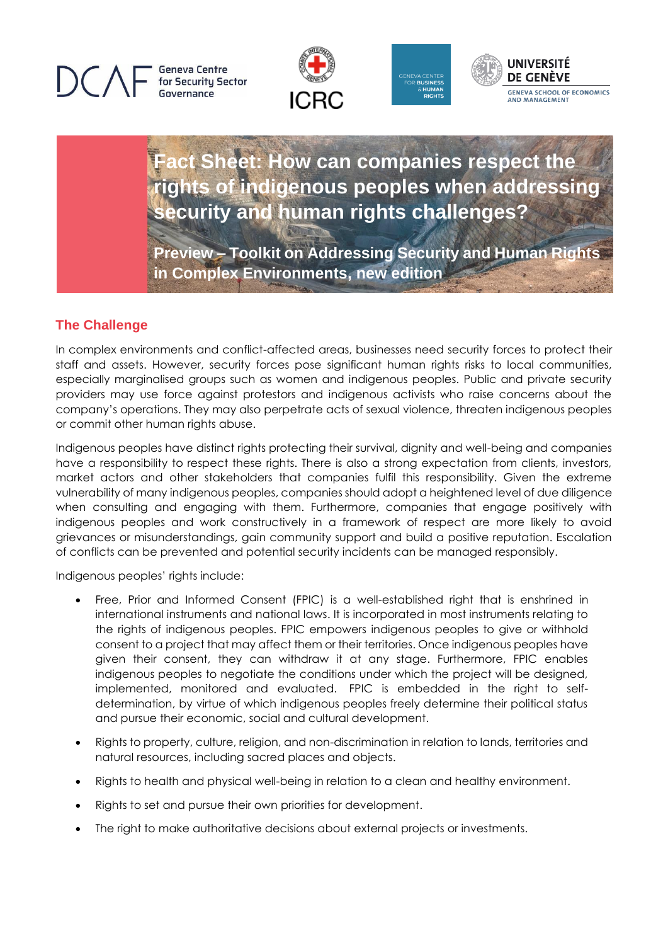**Geneva Centre** for Security Sector Governance







**Fact Sheet: How can companies respect the rights of indigenous peoples when addressing security and human rights challenges?**

**Preview – Toolkit on Addressing Security and Human Rights in Complex Environments, new edition**

# **The Challenge**

In complex environments and conflict-affected areas, businesses need security forces to protect their staff and assets. However, security forces pose significant human rights risks to local communities, especially marginalised groups such as women and indigenous peoples. Public and private security providers may use force against protestors and indigenous activists who raise concerns about the company's operations. They may also perpetrate acts of sexual violence, threaten indigenous peoples or commit other human rights abuse.

Indigenous peoples have distinct rights protecting their survival, dignity and well-being and companies have a responsibility to respect these rights. There is also a strong expectation from clients, investors, market actors and other stakeholders that companies fulfil this responsibility. Given the extreme vulnerability of many indigenous peoples, companies should adopt a heightened level of due diligence when consulting and engaging with them. Furthermore, companies that engage positively with indigenous peoples and work constructively in a framework of respect are more likely to avoid grievances or misunderstandings, gain community support and build a positive reputation. Escalation of conflicts can be prevented and potential security incidents can be managed responsibly.

Indigenous peoples' rights include:

- Free, Prior and Informed Consent (FPIC) is a well-established right that is enshrined in international instruments and national laws. It is incorporated in most instruments relating to the rights of indigenous peoples. FPIC empowers indigenous peoples to give or withhold consent to a project that may affect them or their territories. Once indigenous peoples have given their consent, they can withdraw it at any stage. Furthermore, FPIC enables indigenous peoples to negotiate the conditions under which the project will be designed, implemented, monitored and evaluated. FPIC is embedded in the right to selfdetermination, by virtue of which indigenous peoples freely determine their political status and pursue their economic, social and cultural development.
- Rights to property, culture, religion, and non-discrimination in relation to lands, territories and natural resources, including sacred places and objects.
- Rights to health and physical well-being in relation to a clean and healthy environment.
- Rights to set and pursue their own priorities for development.
- The right to make authoritative decisions about external projects or investments.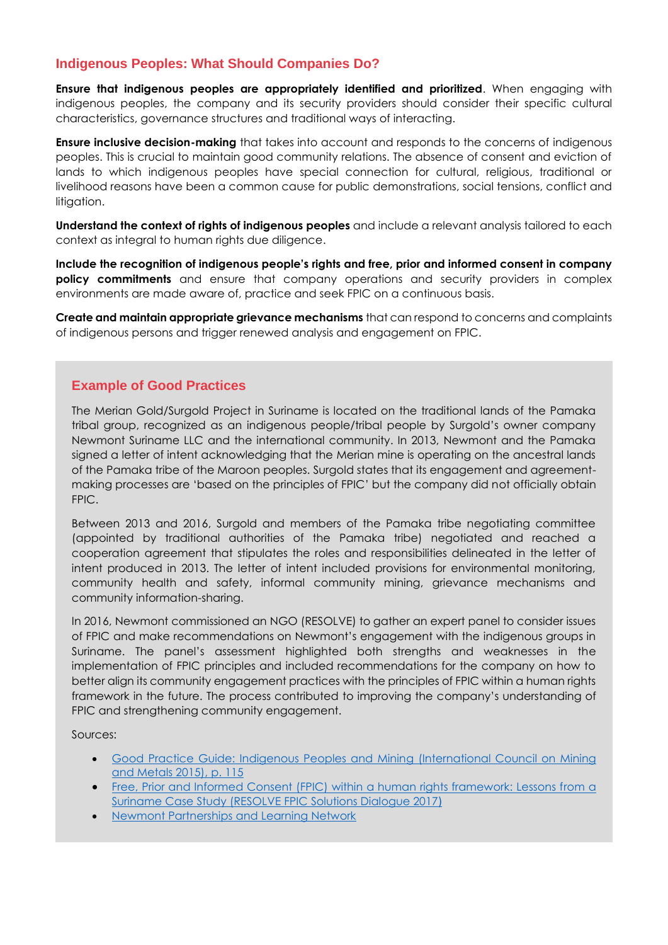# **Indigenous Peoples: What Should Companies Do?**

**Ensure that indigenous peoples are appropriately identified and prioritized**. When engaging with indigenous peoples, the company and its security providers should consider their specific cultural characteristics, governance structures and traditional ways of interacting.

**Ensure inclusive decision-making** that takes into account and responds to the concerns of indigenous peoples. This is crucial to maintain good community relations. The absence of consent and eviction of lands to which indigenous peoples have special connection for cultural, religious, traditional or livelihood reasons have been a common cause for public demonstrations, social tensions, conflict and litigation.

**Understand the context of rights of indigenous peoples** and include a relevant analysis tailored to each context as integral to human rights due diligence.

**Include the recognition of indigenous people's rights and free, prior and informed consent in company policy commitments** and ensure that company operations and security providers in complex environments are made aware of, practice and seek FPIC on a continuous basis.

**Create and maintain appropriate grievance mechanisms** that can respond to concerns and complaints of indigenous persons and trigger renewed analysis and engagement on FPIC.

#### **Example of Good Practices**

The Merian Gold/Surgold Project in Suriname is located on the traditional lands of the Pamaka tribal group, recognized as an indigenous people/tribal people by Surgold's owner company Newmont Suriname LLC and the international community. In 2013, Newmont and the Pamaka signed a letter of intent acknowledging that the Merian mine is operating on the ancestral lands of the Pamaka tribe of the Maroon peoples. Surgold states that its engagement and agreementmaking processes are 'based on the principles of FPIC' but the company did not officially obtain FPIC.

Between 2013 and 2016, Surgold and members of the Pamaka tribe negotiating committee (appointed by traditional authorities of the Pamaka tribe) negotiated and reached a cooperation agreement that stipulates the roles and responsibilities delineated in the letter of intent produced in 2013. The letter of intent included provisions for environmental monitoring, community health and safety, informal community mining, grievance mechanisms and community information-sharing.

In 2016, Newmont commissioned an NGO (RESOLVE) to gather an expert panel to consider issues of FPIC and make recommendations on Newmont's engagement with the indigenous groups in Suriname. The panel's assessment highlighted both strengths and weaknesses in the implementation of FPIC principles and included recommendations for the company on how to better align its community engagement practices with the principles of FPIC within a human rights framework in the future. The process contributed to improving the company's understanding of FPIC and strengthening community engagement.

Sources:

- [Good Practice Guide: Indigenous Peoples and Mining \(International Council on Mining](https://www.icmm.com/website/publications/pdfs/social-performance/2015/guidance_indigenous-peoples-mining.pdf)  [and Metals 2015\),](https://www.icmm.com/website/publications/pdfs/social-performance/2015/guidance_indigenous-peoples-mining.pdf) p. 115
- Free, Prior and Informed Consent (FPIC) within a human rights framework: Lessons from a [Suriname Case Study \(RESOLVE FPIC Solutions Dialogue 2017](https://fpicdialogue.org/fpic-within-a-human-rights-framework-lessons-from-a-suriname-case-study/))
- **[Newmont Partnerships and Learning Network](https://www.newmont.com/IndigenousCommunityRelations/Partnerships--Leaning-Network/)**